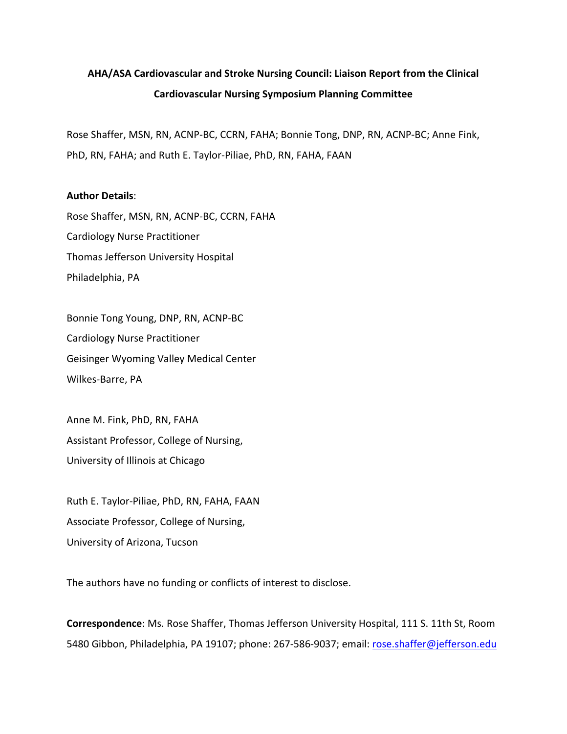## **AHA/ASA Cardiovascular and Stroke Nursing Council: Liaison Report from the Clinical Cardiovascular Nursing Symposium Planning Committee**

Rose Shaffer, MSN, RN, ACNP-BC, CCRN, FAHA; Bonnie Tong, DNP, RN, ACNP-BC; Anne Fink, PhD, RN, FAHA; and Ruth E. Taylor-Piliae, PhD, RN, FAHA, FAAN

## **Author Details**:

Rose Shaffer, MSN, RN, ACNP-BC, CCRN, FAHA Cardiology Nurse Practitioner Thomas Jefferson University Hospital Philadelphia, PA

Bonnie Tong Young, DNP, RN, ACNP-BC Cardiology Nurse Practitioner Geisinger Wyoming Valley Medical Center Wilkes-Barre, PA

Anne M. Fink, PhD, RN, FAHA Assistant Professor, College of Nursing, University of Illinois at Chicago

Ruth E. Taylor-Piliae, PhD, RN, FAHA, FAAN Associate Professor, College of Nursing, University of Arizona, Tucson

The authors have no funding or conflicts of interest to disclose.

**Correspondence**: Ms. Rose Shaffer, Thomas Jefferson University Hospital, 111 S. 11th St, Room 5480 Gibbon, Philadelphia, PA 19107; phone: 267-586-9037; email: [rose.shaffer@jefferson.edu](mailto:rose.shaffer@jefferson.edu)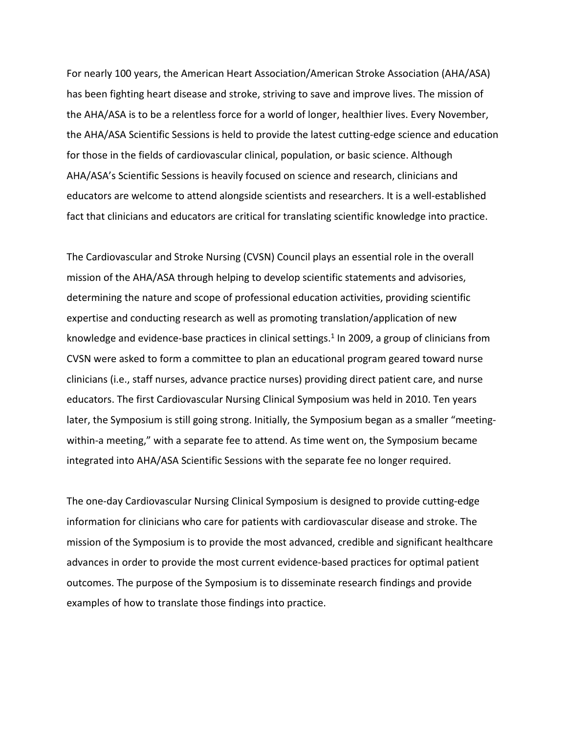For nearly 100 years, the American Heart Association/American Stroke Association (AHA/ASA) has been fighting heart disease and stroke, striving to save and improve lives. The mission of the AHA/ASA is to be a relentless force for a world of longer, healthier lives. Every November, the AHA/ASA Scientific Sessions is held to provide the latest cutting-edge science and education for those in the fields of cardiovascular clinical, population, or basic science. Although AHA/ASA's Scientific Sessions is heavily focused on science and research, clinicians and educators are welcome to attend alongside scientists and researchers. It is a well-established fact that clinicians and educators are critical for translating scientific knowledge into practice.

The Cardiovascular and Stroke Nursing (CVSN) Council plays an essential role in the overall mission of the AHA/ASA through helping to develop scientific statements and advisories, determining the nature and scope of professional education activities, providing scientific expertise and conducting research as well as promoting translation/application of new knowledge and evidence-base practices in clinical settings.<sup>1</sup> In 2009, a group of clinicians from CVSN were asked to form a committee to plan an educational program geared toward nurse clinicians (i.e., staff nurses, advance practice nurses) providing direct patient care, and nurse educators. The first Cardiovascular Nursing Clinical Symposium was held in 2010. Ten years later, the Symposium is still going strong. Initially, the Symposium began as a smaller "meetingwithin-a meeting," with a separate fee to attend. As time went on, the Symposium became integrated into AHA/ASA Scientific Sessions with the separate fee no longer required.

The one-day Cardiovascular Nursing Clinical Symposium is designed to provide cutting-edge information for clinicians who care for patients with cardiovascular disease and stroke. The mission of the Symposium is to provide the most advanced, credible and significant healthcare advances in order to provide the most current evidence-based practices for optimal patient outcomes. The purpose of the Symposium is to disseminate research findings and provide examples of how to translate those findings into practice.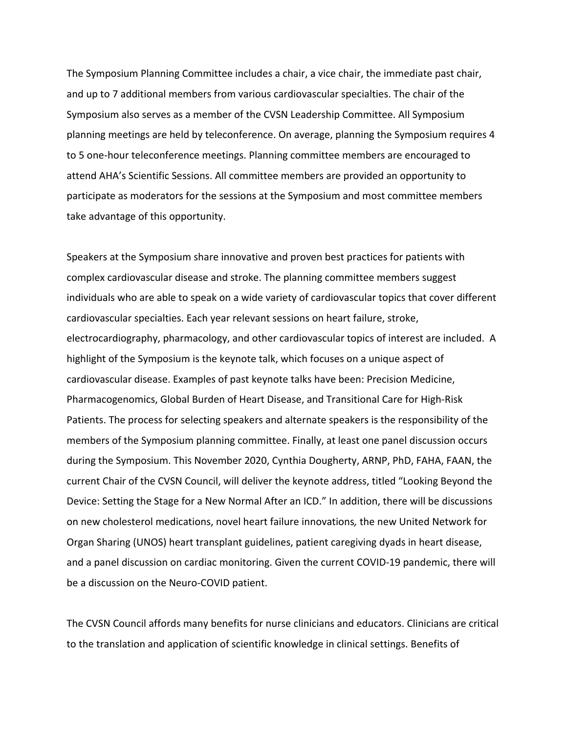The Symposium Planning Committee includes a chair, a vice chair, the immediate past chair, and up to 7 additional members from various cardiovascular specialties. The chair of the Symposium also serves as a member of the CVSN Leadership Committee. All Symposium planning meetings are held by teleconference. On average, planning the Symposium requires 4 to 5 one-hour teleconference meetings. Planning committee members are encouraged to attend AHA's Scientific Sessions. All committee members are provided an opportunity to participate as moderators for the sessions at the Symposium and most committee members take advantage of this opportunity.

Speakers at the Symposium share innovative and proven best practices for patients with complex cardiovascular disease and stroke. The planning committee members suggest individuals who are able to speak on a wide variety of cardiovascular topics that cover different cardiovascular specialties. Each year relevant sessions on heart failure, stroke, electrocardiography, pharmacology, and other cardiovascular topics of interest are included. A highlight of the Symposium is the keynote talk, which focuses on a unique aspect of cardiovascular disease. Examples of past keynote talks have been: Precision Medicine, Pharmacogenomics, Global Burden of Heart Disease, and Transitional Care for High-Risk Patients. The process for selecting speakers and alternate speakers is the responsibility of the members of the Symposium planning committee. Finally, at least one panel discussion occurs during the Symposium. This November 2020, Cynthia Dougherty, ARNP, PhD, FAHA, FAAN, the current Chair of the CVSN Council, will deliver the keynote address, titled "Looking Beyond the Device: Setting the Stage for a New Normal After an ICD." In addition, there will be discussions on new cholesterol medications, novel heart failure innovations*,* the new United Network for Organ Sharing (UNOS) heart transplant guidelines, patient caregiving dyads in heart disease, and a panel discussion on cardiac monitoring. Given the current COVID-19 pandemic, there will be a discussion on the Neuro-COVID patient.

The CVSN Council affords many benefits for nurse clinicians and educators. Clinicians are critical to the translation and application of scientific knowledge in clinical settings. Benefits of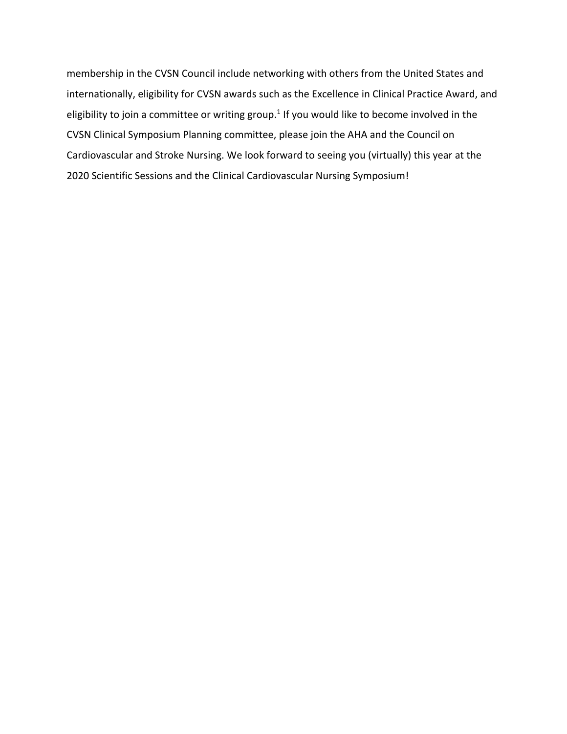membership in the CVSN Council include networking with others from the United States and internationally, eligibility for CVSN awards such as the Excellence in Clinical Practice Award, and eligibility to join a committee or writing group.<sup>1</sup> If you would like to become involved in the CVSN Clinical Symposium Planning committee, please join the AHA and the Council on Cardiovascular and Stroke Nursing. We look forward to seeing you (virtually) this year at the 2020 Scientific Sessions and the Clinical Cardiovascular Nursing Symposium!